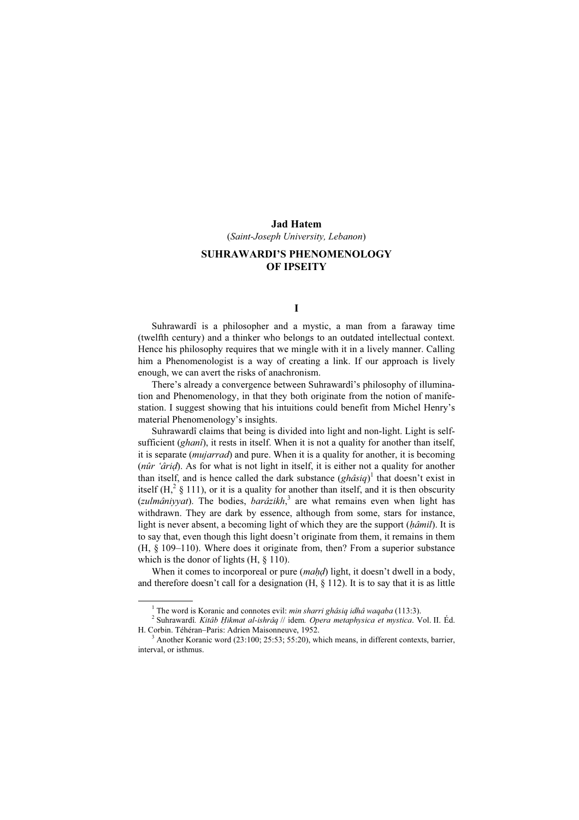#### Jad Hatem

(Saint-Joseph University, Lebanon)

# SUHRAWARDI'S PHENOMENOLOGY OF IPSEITY

## I

Suhrawardî is a philosopher and a mystic, a man from a faraway time (twelfth century) and a thinker who belongs to an outdated intellectual context. Hence his philosophy requires that we mingle with it in a lively manner. Calling him a Phenomenologist is a way of creating a link. If our approach is lively enough, we can avert the risks of anachronism.

There's already a convergence between Suhrawardî's philosophy of illumination and Phenomenology, in that they both originate from the notion of manifestation. I suggest showing that his intuitions could benefit from Michel Henry's material Phenomenology's insights.

Suhrawardî claims that being is divided into light and non-light. Light is selfsufficient (*ghanî*), it rests in itself. When it is not a quality for another than itself, it is separate (mujarrad) and pure. When it is a quality for another, it is becoming (nûr 'âriḍ). As for what is not light in itself, it is either not a quality for another than itself, and is hence called the dark substance  $(ghâsiq)^{1}$  that doesn't exist in itself (H,<sup>2</sup> § 111), or it is a quality for another than itself, and it is then obscurity (zulmâniyyat). The bodies,  $bar\{a$ zikh,<sup>3</sup> are what remains even when light has withdrawn. They are dark by essence, although from some, stars for instance, light is never absent, a becoming light of which they are the support (hâmil). It is to say that, even though this light doesn't originate from them, it remains in them (H, § 109–110). Where does it originate from, then? From a superior substance which is the donor of lights  $(H, \S 110)$ .

When it comes to incorporeal or pure (maḥḍ) light, it doesn't dwell in a body, and therefore doesn't call for a designation  $(H, \S 112)$ . It is to say that it is as little

 $\frac{1}{1}$ <sup>1</sup> The word is Koranic and connotes evil: *min sharri ghâsiq idhâ waqaba* (113:3).

 $^{2}$  Suhrawardî. Kitâb Hikmat al-ishrâq // idem. Opera metaphysica et mystica. Vol. II. Éd. H. Corbin. Téhéran–Paris: Adrien Maisonneuve, 1952.

 $A<sup>3</sup>$  Another Koranic word (23:100; 25:53; 55:20), which means, in different contexts, barrier, interval, or isthmus.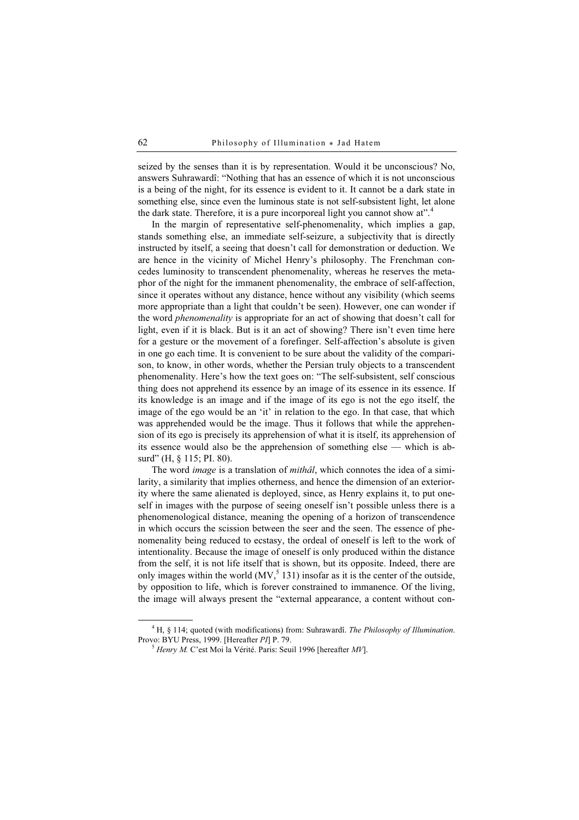seized by the senses than it is by representation. Would it be unconscious? No, answers Suhrawardî: "Nothing that has an essence of which it is not unconscious is a being of the night, for its essence is evident to it. It cannot be a dark state in something else, since even the luminous state is not self-subsistent light, let alone the dark state. Therefore, it is a pure incorporeal light you cannot show at".<sup>4</sup>

In the margin of representative self-phenomenality, which implies a gap, stands something else, an immediate self-seizure, a subjectivity that is directly instructed by itself, a seeing that doesn't call for demonstration or deduction. We are hence in the vicinity of Michel Henry's philosophy. The Frenchman concedes luminosity to transcendent phenomenality, whereas he reserves the metaphor of the night for the immanent phenomenality, the embrace of self-affection, since it operates without any distance, hence without any visibility (which seems more appropriate than a light that couldn't be seen). However, one can wonder if the word *phenomenality* is appropriate for an act of showing that doesn't call for light, even if it is black. But is it an act of showing? There isn't even time here for a gesture or the movement of a forefinger. Self-affection's absolute is given in one go each time. It is convenient to be sure about the validity of the comparison, to know, in other words, whether the Persian truly objects to a transcendent phenomenality. Here's how the text goes on: "The self-subsistent, self conscious thing does not apprehend its essence by an image of its essence in its essence. If its knowledge is an image and if the image of its ego is not the ego itself, the image of the ego would be an 'it' in relation to the ego. In that case, that which was apprehended would be the image. Thus it follows that while the apprehension of its ego is precisely its apprehension of what it is itself, its apprehension of its essence would also be the apprehension of something else — which is absurd" (H, § 115; PI, 80).

The word *image* is a translation of *mithâl*, which connotes the idea of a similarity, a similarity that implies otherness, and hence the dimension of an exteriority where the same alienated is deployed, since, as Henry explains it, to put oneself in images with the purpose of seeing oneself isn't possible unless there is a phenomenological distance, meaning the opening of a horizon of transcendence in which occurs the scission between the seer and the seen. The essence of phenomenality being reduced to ecstasy, the ordeal of oneself is left to the work of intentionality. Because the image of oneself is only produced within the distance from the self, it is not life itself that is shown, but its opposite. Indeed, there are only images within the world  $(MV, \frac{5}{3} 131)$  insofar as it is the center of the outside, by opposition to life, which is forever constrained to immanence. Of the living, the image will always present the "external appearance, a content without con-

 $\frac{1}{4}$ <sup>4</sup> H, § 114; quoted (with modifications) from: Suhrawardî. *The Philosophy of Illumination*. Provo: BYU Press, 1999. [Hereafter *PI*] P. 79.

 $<sup>5</sup>$  Henry M. C'est Moi la Vérité. Paris: Seuil 1996 [hereafter MV].</sup>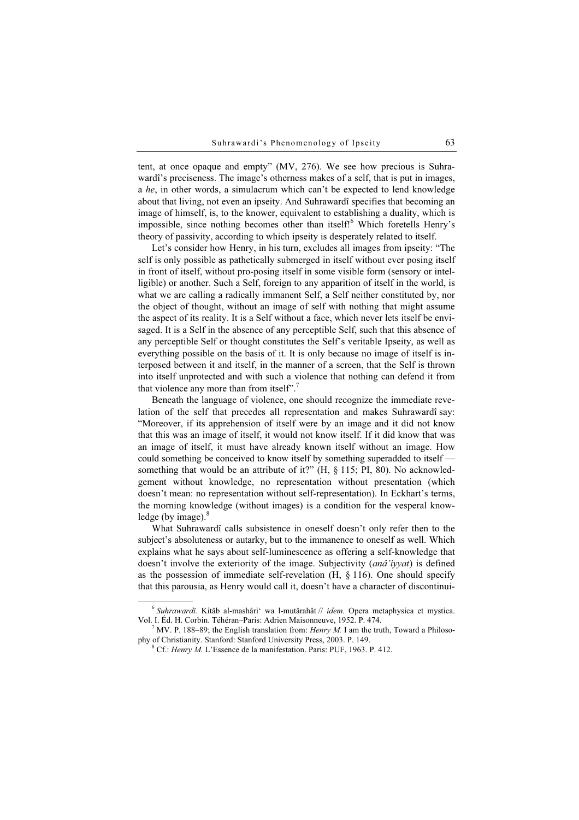tent, at once opaque and empty" (MV, 276). We see how precious is Suhrawardî's preciseness. The image's otherness makes of a self, that is put in images, a he, in other words, a simulacrum which can't be expected to lend knowledge about that living, not even an ipseity. And Suhrawardî specifies that becoming an image of himself, is, to the knower, equivalent to establishing a duality, which is impossible, since nothing becomes other than itself!<sup>6</sup> Which foretells Henry's theory of passivity, according to which ipseity is desperately related to itself.

Let's consider how Henry, in his turn, excludes all images from ipseity: "The self is only possible as pathetically submerged in itself without ever posing itself in front of itself, without pro-posing itself in some visible form (sensory or intelligible) or another. Such a Self, foreign to any apparition of itself in the world, is what we are calling a radically immanent Self, a Self neither constituted by, nor the object of thought, without an image of self with nothing that might assume the aspect of its reality. It is a Self without a face, which never lets itself be envisaged. It is a Self in the absence of any perceptible Self, such that this absence of any perceptible Self or thought constitutes the Self's veritable Ipseity, as well as everything possible on the basis of it. It is only because no image of itself is interposed between it and itself, in the manner of a screen, that the Self is thrown into itself unprotected and with such a violence that nothing can defend it from that violence any more than from itself".<sup>7</sup>

Beneath the language of violence, one should recognize the immediate revelation of the self that precedes all representation and makes Suhrawardî say: "Moreover, if its apprehension of itself were by an image and it did not know that this was an image of itself, it would not know itself. If it did know that was an image of itself, it must have already known itself without an image. How could something be conceived to know itself by something superadded to itself something that would be an attribute of it?"  $(H, \S 115; PI, 80)$ . No acknowledgement without knowledge, no representation without presentation (which doesn't mean: no representation without self-representation). In Eckhart's terms, the morning knowledge (without images) is a condition for the vesperal knowledge (by image). $8$ 

What Suhrawardî calls subsistence in oneself doesn't only refer then to the subject's absoluteness or autarky, but to the immanence to oneself as well. Which explains what he says about self-luminescence as offering a self-knowledge that doesn't involve the exteriority of the image. Subjectivity (anâ'iyyat) is defined as the possession of immediate self-revelation  $(H, \S 116)$ . One should specify that this parousia, as Henry would call it, doesn't have a character of discontinui-

 $6$  Suhrawardî. Kitâb al-mashâri $6$  wa l-mutârahât // idem. Opera metaphysica et mystica. Vol. I. Éd. H. Corbin. Téhéran–Paris: Adrien Maisonneuve, 1952. P. 474.

 $^7$  MV. P. 188–89; the English translation from: *Henry M*. I am the truth, Toward a Philosophy of Christianity. Stanford: Stanford University Press, 2003. P. 149.

 $8$  Cf.: Henry M. L'Essence de la manifestation. Paris: PUF, 1963. P. 412.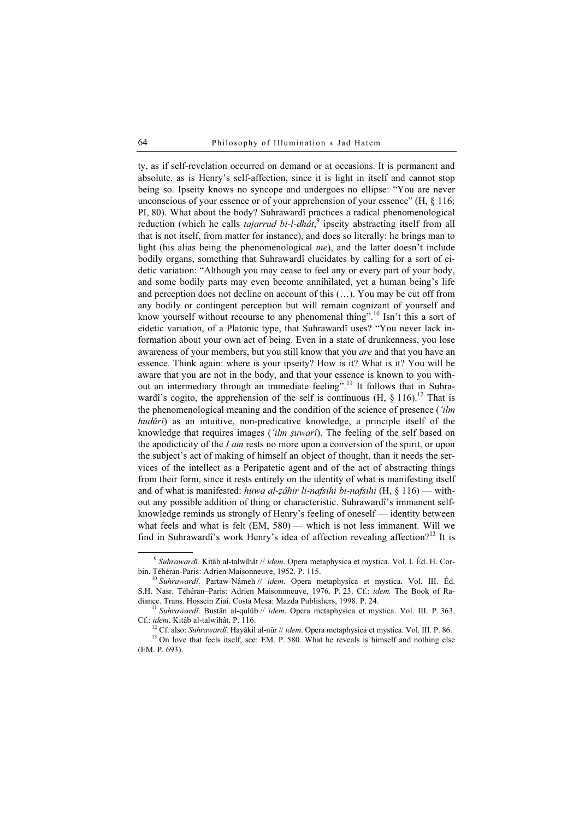ty, as if self-revelation occurred on demand or at occasions. It is permanent and absolute, as is Henry's self-affection, since it is light in itself and cannot stop being so. Ipseity knows no syncope and undergoes no ellipse: "You are never unconscious of your essence or of your apprehension of your essence"  $(H, \S 116)$ ; PI, 80). What about the body? Suhrawardî practices a radical phenomenological reduction (which he calls *tajarrud bi-l-dhât*, $9$  ipseity abstracting itself from all that is not itself, from matter for instance), and does so literally: he brings man to light (his alias being the phenomenological me), and the latter doesn't include bodily organs, something that Suhrawardî elucidates by calling for a sort of eidetic variation: "Although you may cease to feel any or every part of your body, and some bodily parts may even become annihilated, yet a human being's life and perception does not decline on account of this (…). You may be cut off from any bodily or contingent perception but will remain cognizant of yourself and know yourself without recourse to any phenomenal thing".<sup>10</sup> Isn't this a sort of eidetic variation, of a Platonic type, that Suhrawardî uses? "You never lack information about your own act of being. Even in a state of drunkenness, you lose awareness of your members, but you still know that you are and that you have an essence. Think again: where is your ipseity? How is it? What is it? You will be aware that you are not in the body, and that your essence is known to you without an intermediary through an immediate feeling".<sup>11</sup> It follows that in Suhrawardî's cogito, the apprehension of the self is continuous  $(H, \S 116)^{12}$  That is the phenomenological meaning and the condition of the science of presence ('*ilm* hudûrî) as an intuitive, non-predicative knowledge, a principle itself of the knowledge that requires images ('ilm suwarî). The feeling of the self based on the apodicticity of the I am rests no more upon a conversion of the spirit, or upon the subject's act of making of himself an object of thought, than it needs the services of the intellect as a Peripatetic agent and of the act of abstracting things from their form, since it rests entirely on the identity of what is manifesting itself and of what is manifested: huwa al-zâhir li-nafsihi bi-nafsihi (H, § 116) — without any possible addition of thing or characteristic. Suhrawardî's immanent selfknowledge reminds us strongly of Henry's feeling of oneself — identity between what feels and what is felt (EM, 580) — which is not less immanent. Will we find in Suhrawardî's work Henry's idea of affection revealing affection?<sup>13</sup> It is

 $9$  Suhrawardî. Kitâb al-talwîhât // idem. Opera metaphysica et mystica. Vol. I. Éd. H. Corbin. Téhéran-Paris: Adrien Maisonneuve, 1952. P. 115.

 $10$  Suhrawardî. Partaw-Nâmeh // idem. Opera metaphysica et mystica. Vol. III. Éd. S.H. Nasr. Téhéran–Paris: Adrien Maisonnneuve, 1976. P. 23. Cf.: idem. The Book of Ra-

diance. Trans. Hossein Ziai. Costa Mesa: Mazda Publishers, 1998. P. 24.<br><sup>11</sup> Suhrawardî. Bustân al-qulûb // idem. Opera metaphysica et mystica. Vol. III. P. 363.<br>Cf.: idem. Kitâb al-talwîhât. P. 116.

<sup>&</sup>lt;sup>12</sup> Cf. also: Suhrawardî. Hayâkil al-nûr // idem. Opera metaphysica et mystica. Vol. III. P. 86. <sup>13</sup> On love that feels itself, see: EM. P. 580. What he reveals is himself and nothing else (EM. P. 693).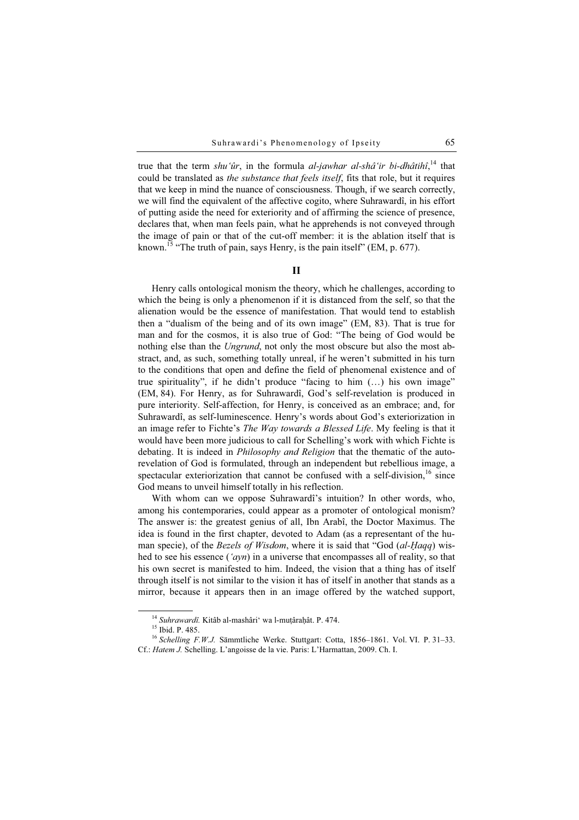true that the term shu'ûr, in the formula al-jawhar al-shâ'ir bi-dhâtihî,<sup>14</sup> that could be translated as the substance that feels itself, fits that role, but it requires that we keep in mind the nuance of consciousness. Though, if we search correctly, we will find the equivalent of the affective cogito, where Suhrawardî, in his effort of putting aside the need for exteriority and of affirming the science of presence, declares that, when man feels pain, what he apprehends is not conveyed through the image of pain or that of the cut-off member: it is the ablation itself that is known.<sup>15</sup> "The truth of pain, says Henry, is the pain itself" (EM, p. 677).

### II

Henry calls ontological monism the theory, which he challenges, according to which the being is only a phenomenon if it is distanced from the self, so that the alienation would be the essence of manifestation. That would tend to establish then a "dualism of the being and of its own image" (EM, 83). That is true for man and for the cosmos, it is also true of God: "The being of God would be nothing else than the Ungrund, not only the most obscure but also the most abstract, and, as such, something totally unreal, if he weren't submitted in his turn to the conditions that open and define the field of phenomenal existence and of true spirituality", if he didn't produce "facing to him  $(...)$  his own image" (EM, 84). For Henry, as for Suhrawardî, God's self-revelation is produced in pure interiority. Self-affection, for Henry, is conceived as an embrace; and, for Suhrawardî, as self-luminescence. Henry's words about God's exteriorization in an image refer to Fichte's The Way towards a Blessed Life. My feeling is that it would have been more judicious to call for Schelling's work with which Fichte is debating. It is indeed in *Philosophy and Religion* that the thematic of the autorevelation of God is formulated, through an independent but rebellious image, a spectacular exteriorization that cannot be confused with a self-division,<sup>16</sup> since God means to unveil himself totally in his reflection.

With whom can we oppose Suhrawardî's intuition? In other words, who, among his contemporaries, could appear as a promoter of ontological monism? The answer is: the greatest genius of all, Ibn Arabî, the Doctor Maximus. The idea is found in the first chapter, devoted to Adam (as a representant of the human specie), of the Bezels of Wisdom, where it is said that "God (al-Haqq) wisman specie), of the *Bezels of Wisdom*, where it is said that "God  $(al$ -*Haqq*) wished to see his essence ('*ayn*) in a universe that encompasses all of reality, so that his own secret is manifested to him. Indeed, the vision that a thing has of itself through itself is not similar to the vision it has of itself in another that stands as a mirror, because it appears then in an image offered by the watched support,

<sup>&</sup>lt;sup>14</sup> Suhrawardî. Kitâb al-mashâri<sup>'</sup> wa l-muṭâraḥât. P. 474.<br><sup>15</sup> Ibid. P. 485.

<sup>&</sup>lt;sup>16</sup> Schelling F.W.J. Sämmtliche Werke. Stuttgart: Cotta, 1856–1861. Vol. VI. P. 31–33. Cf.: Hatem J. Schelling. L'angoisse de la vie. Paris: L'Harmattan, 2009. Ch. I.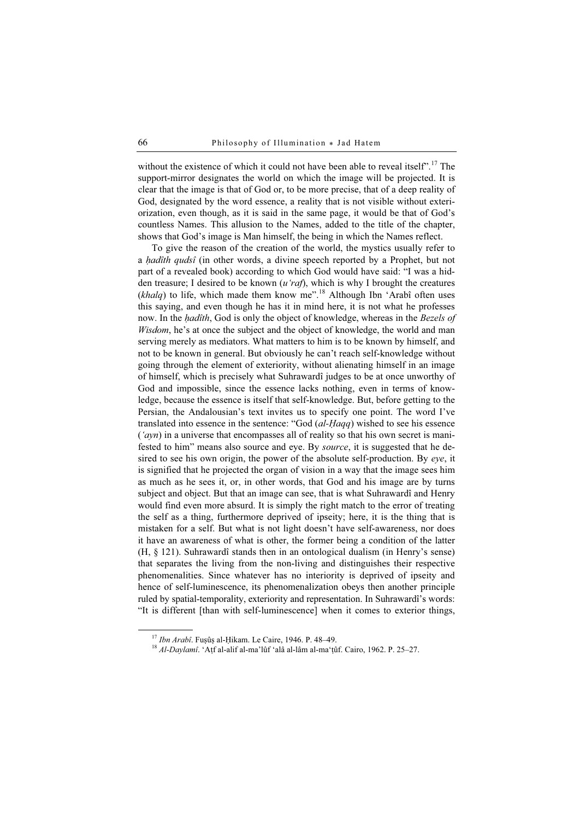without the existence of which it could not have been able to reveal itself".<sup>17</sup> The support-mirror designates the world on which the image will be projected. It is clear that the image is that of God or, to be more precise, that of a deep reality of God, designated by the word essence, a reality that is not visible without exteriorization, even though, as it is said in the same page, it would be that of God's countless Names. This allusion to the Names, added to the title of the chapter, shows that God's image is Man himself, the being in which the Names reflect.

To give the reason of the creation of the world, the mystics usually refer to a *hadîth qudsî* (in other words, a divine speech reported by a Prophet, but not part of a revealed book) according to which God would have said: "I was a hidden treasure; I desired to be known  $(u' \, \text{rad})$ , which is why I brought the creatures (khalq) to life, which made them know me".<sup>18</sup> Although Ibn 'Arabî often uses this saying, and even though he has it in mind here, it is not what he professes now. In the *hadîth*, God is only the object of knowledge, whereas in the Bezels of Wisdom, he's at once the subject and the object of knowledge, the world and man serving merely as mediators. What matters to him is to be known by himself, and not to be known in general. But obviously he can't reach self-knowledge without going through the element of exteriority, without alienating himself in an image of himself, which is precisely what Suhrawardî judges to be at once unworthy of God and impossible, since the essence lacks nothing, even in terms of knowledge, because the essence is itself that self-knowledge. But, before getting to the Persian, the Andalousian's text invites us to specify one point. The word I've translated into essence in the sentence: "God (al-Ḥaqq) wished to see his essence  $({\alpha}yn)$  in a universe that encompasses all of reality so that his own secret is manifested to him" means also source and eye. By *source*, it is suggested that he desired to see his own origin, the power of the absolute self-production. By eye, it is signified that he projected the organ of vision in a way that the image sees him as much as he sees it, or, in other words, that God and his image are by turns subject and object. But that an image can see, that is what Suhrawardî and Henry would find even more absurd. It is simply the right match to the error of treating the self as a thing, furthermore deprived of ipseity; here, it is the thing that is mistaken for a self. But what is not light doesn't have self-awareness, nor does it have an awareness of what is other, the former being a condition of the latter (H, § 121). Suhrawardî stands then in an ontological dualism (in Henry's sense) that separates the living from the non-living and distinguishes their respective phenomenalities. Since whatever has no interiority is deprived of ipseity and hence of self-luminescence, its phenomenalization obeys then another principle ruled by spatial-temporality, exteriority and representation. In Suhrawardî's words: "It is different [than with self-luminescence] when it comes to exterior things,

<sup>&</sup>lt;sup>17</sup> *Ibn Arabî*. Fuşûş al-Ḥikam. Le Caire, 1946. P. 48–49.<br><sup>18</sup> Al-Daylamî. 'Atf al-alif al-ma'lûf 'alâ al-lâm al-ma'tûf. Cairo, 1962. P. 25–27.